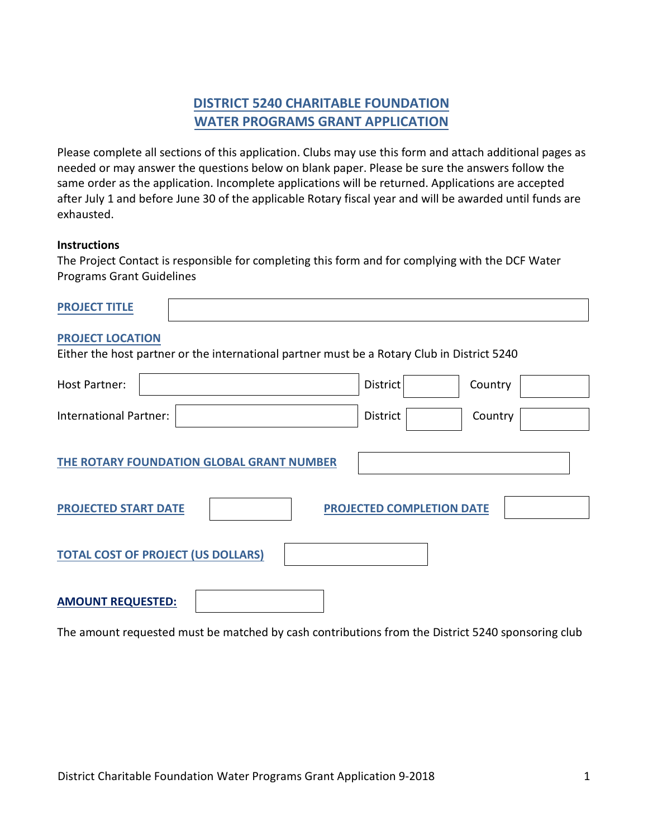# **DISTRICT 5240 CHARITABLE FOUNDATION WATER PROGRAMS GRANT APPLICATION**

Please complete all sections of this application. Clubs may use this form and attach additional pages as needed or may answer the questions below on blank paper. Please be sure the answers follow the same order as the application. Incomplete applications will be returned. Applications are accepted after July 1 and before June 30 of the applicable Rotary fiscal year and will be awarded until funds are exhausted.

#### **Instructions**

The Project Contact is responsible for completing this form and for complying with the DCF Water Programs Grant Guidelines

| ----------<br>$-$ |  |  |
|-------------------|--|--|
|                   |  |  |

#### **PROJECT LOCATION**

Either the host partner or the international partner must be a Rotary Club in District 5240

| Host Partner:                 |                                           | District                  | Country |
|-------------------------------|-------------------------------------------|---------------------------|---------|
| <b>International Partner:</b> |                                           | District                  | Country |
|                               | THE ROTARY FOUNDATION GLOBAL GRANT NUMBER |                           |         |
| <b>PROJECTED START DATE</b>   |                                           | PROJECTED COMPLETION DATE |         |
|                               | <b>TOTAL COST OF PROJECT (US DOLLARS)</b> |                           |         |
| <b>AMOUNT REQUESTED:</b>      |                                           |                           |         |

The amount requested must be matched by cash contributions from the District 5240 sponsoring club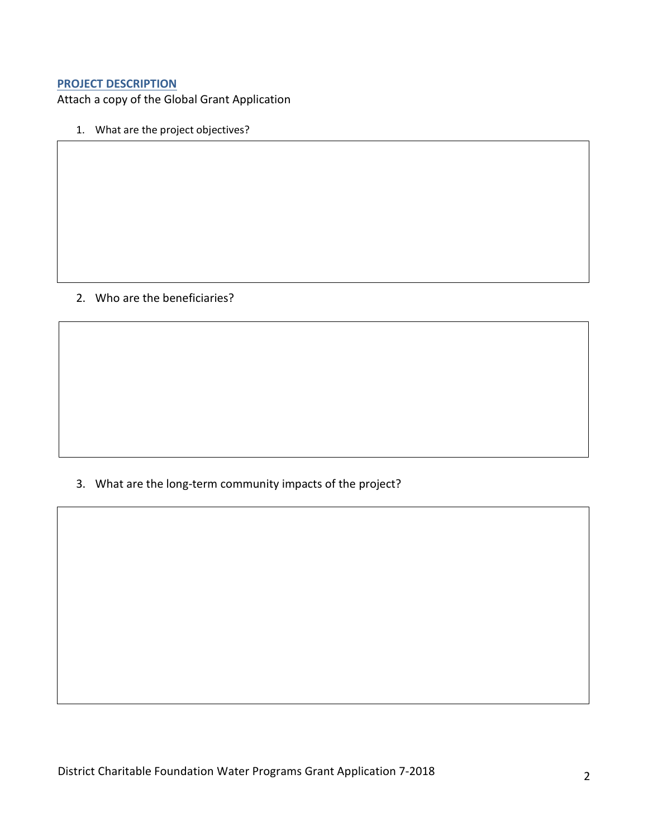#### **PROJECT DESCRIPTION**

Attach a copy of the Global Grant Application

1. What are the project objectives?

## 2. Who are the beneficiaries?

3. What are the long-term community impacts of the project?

District Charitable Foundation Water Programs Grant Application 7-2018 2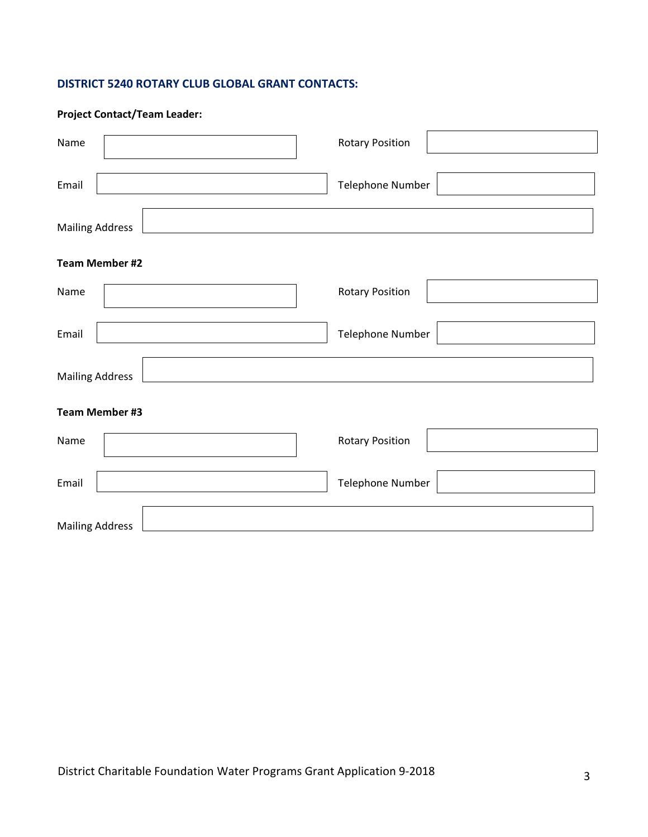## **DISTRICT 5240 ROTARY CLUB GLOBAL GRANT CONTACTS:**

| <b>Project Contact/Team Leader:</b> |                        |
|-------------------------------------|------------------------|
| Name                                | <b>Rotary Position</b> |
| Email                               | Telephone Number       |
| <b>Mailing Address</b>              |                        |
| <b>Team Member #2</b>               |                        |
| Name                                | <b>Rotary Position</b> |
| Email                               | Telephone Number       |
| <b>Mailing Address</b>              |                        |
| <b>Team Member #3</b>               |                        |
| Name                                | <b>Rotary Position</b> |
| Email                               | Telephone Number       |
| <b>Mailing Address</b>              |                        |

٦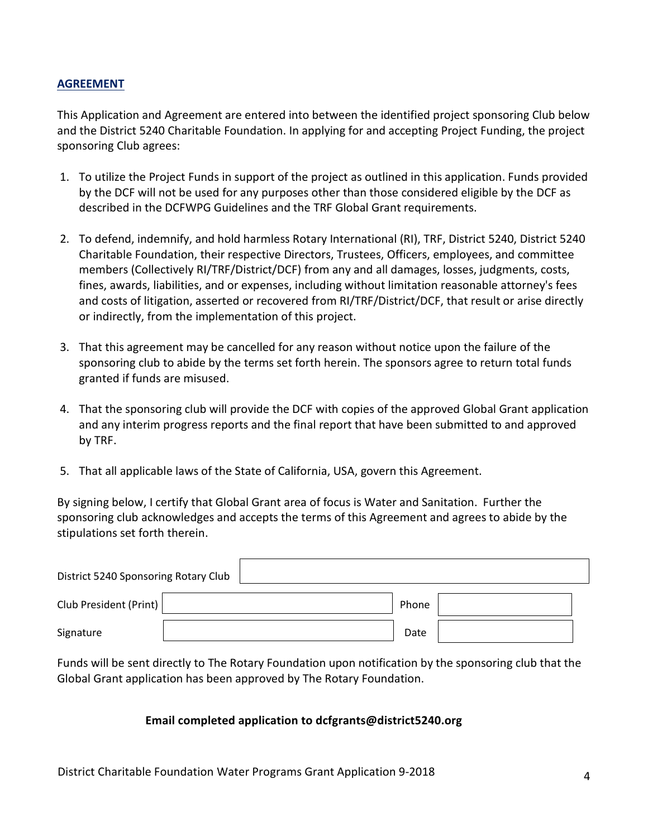## **AGREEMENT**

This Application and Agreement are entered into between the identified project sponsoring Club below and the District 5240 Charitable Foundation. In applying for and accepting Project Funding, the project sponsoring Club agrees:

- 1. To utilize the Project Funds in support of the project as outlined in this application. Funds provided by the DCF will not be used for any purposes other than those considered eligible by the DCF as described in the DCFWPG Guidelines and the TRF Global Grant requirements.
- 2. To defend, indemnify, and hold harmless Rotary International (RI), TRF, District 5240, District 5240 Charitable Foundation, their respective Directors, Trustees, Officers, employees, and committee members (Collectively RI/TRF/District/DCF) from any and all damages, losses, judgments, costs, fines, awards, liabilities, and or expenses, including without limitation reasonable attorney's fees and costs of litigation, asserted or recovered from RI/TRF/District/DCF, that result or arise directly or indirectly, from the implementation of this project.
- 3. That this agreement may be cancelled for any reason without notice upon the failure of the sponsoring club to abide by the terms set forth herein. The sponsors agree to return total funds granted if funds are misused.
- 4. That the sponsoring club will provide the DCF with copies of the approved Global Grant application and any interim progress reports and the final report that have been submitted to and approved by TRF.
- 5. That all applicable laws of the State of California, USA, govern this Agreement.

By signing below, I certify that Global Grant area of focus is Water and Sanitation. Further the sponsoring club acknowledges and accepts the terms of this Agreement and agrees to abide by the stipulations set forth therein.

| District 5240 Sponsoring Rotary Club |  |       |  |
|--------------------------------------|--|-------|--|
| Club President (Print)               |  | Phone |  |
| Signature                            |  | Date  |  |

Funds will be sent directly to The Rotary Foundation upon notification by the sponsoring club that the Global Grant application has been approved by The Rotary Foundation.

#### **Email completed application to dcfgrants@district5240.org**